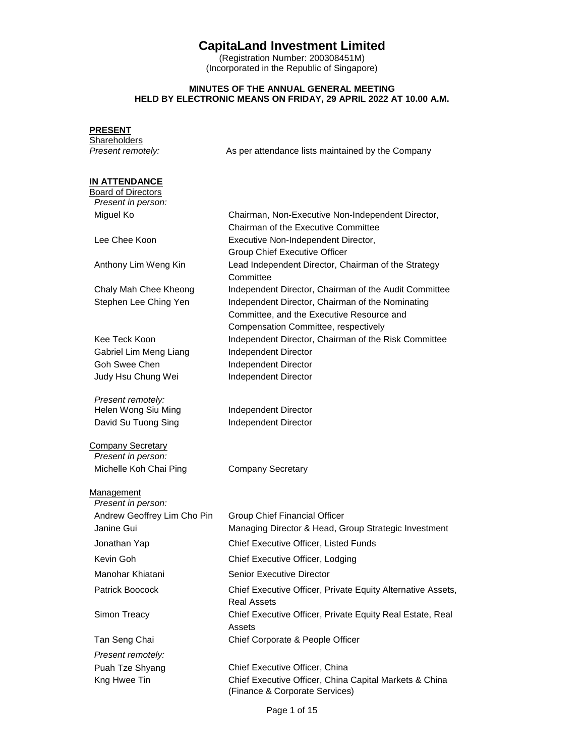# **CapitaLand Investment Limited**

(Registration Number: 200308451M) (Incorporated in the Republic of Singapore)

### **MINUTES OF THE ANNUAL GENERAL MEETING HELD BY ELECTRONIC MEANS ON FRIDAY, 29 APRIL 2022 AT 10.00 A.M.**

| <b>PRESENT</b><br><b>Shareholders</b>                                   |                                                                                                                                       |
|-------------------------------------------------------------------------|---------------------------------------------------------------------------------------------------------------------------------------|
| Present remotely:                                                       | As per attendance lists maintained by the Company                                                                                     |
| <b>IN ATTENDANCE</b><br><b>Board of Directors</b><br>Present in person: |                                                                                                                                       |
| Miguel Ko                                                               | Chairman, Non-Executive Non-Independent Director,<br>Chairman of the Executive Committee                                              |
| Lee Chee Koon                                                           | Executive Non-Independent Director,<br><b>Group Chief Executive Officer</b>                                                           |
| Anthony Lim Weng Kin                                                    | Lead Independent Director, Chairman of the Strategy<br>Committee                                                                      |
| Chaly Mah Chee Kheong                                                   | Independent Director, Chairman of the Audit Committee                                                                                 |
| Stephen Lee Ching Yen                                                   | Independent Director, Chairman of the Nominating<br>Committee, and the Executive Resource and<br>Compensation Committee, respectively |
| Kee Teck Koon                                                           | Independent Director, Chairman of the Risk Committee                                                                                  |
| Gabriel Lim Meng Liang                                                  | Independent Director                                                                                                                  |
| Goh Swee Chen                                                           | Independent Director                                                                                                                  |
| Judy Hsu Chung Wei                                                      | Independent Director                                                                                                                  |
| Present remotely:<br>Helen Wong Siu Ming                                | Independent Director                                                                                                                  |
| David Su Tuong Sing                                                     | Independent Director                                                                                                                  |
| <b>Company Secretary</b><br>Present in person:                          |                                                                                                                                       |
| Michelle Koh Chai Ping                                                  | <b>Company Secretary</b>                                                                                                              |
| Management<br>Present in person:                                        |                                                                                                                                       |
| Andrew Geoffrey Lim Cho Pin<br>Janine Gui                               | Group Chief Financial Officer<br>Managing Director & Head, Group Strategic Investment                                                 |
| Jonathan Yap                                                            | Chief Executive Officer, Listed Funds                                                                                                 |
| Kevin Goh                                                               | Chief Executive Officer, Lodging                                                                                                      |
| Manohar Khiatani                                                        | <b>Senior Executive Director</b>                                                                                                      |
| Patrick Boocock                                                         | Chief Executive Officer, Private Equity Alternative Assets,<br><b>Real Assets</b>                                                     |
| Simon Treacy                                                            | Chief Executive Officer, Private Equity Real Estate, Real<br>Assets                                                                   |
| Tan Seng Chai                                                           | Chief Corporate & People Officer                                                                                                      |
| Present remotely:                                                       |                                                                                                                                       |
| Puah Tze Shyang                                                         | Chief Executive Officer, China                                                                                                        |
| Kng Hwee Tin                                                            | Chief Executive Officer, China Capital Markets & China<br>(Finance & Corporate Services)                                              |

Page 1 of 15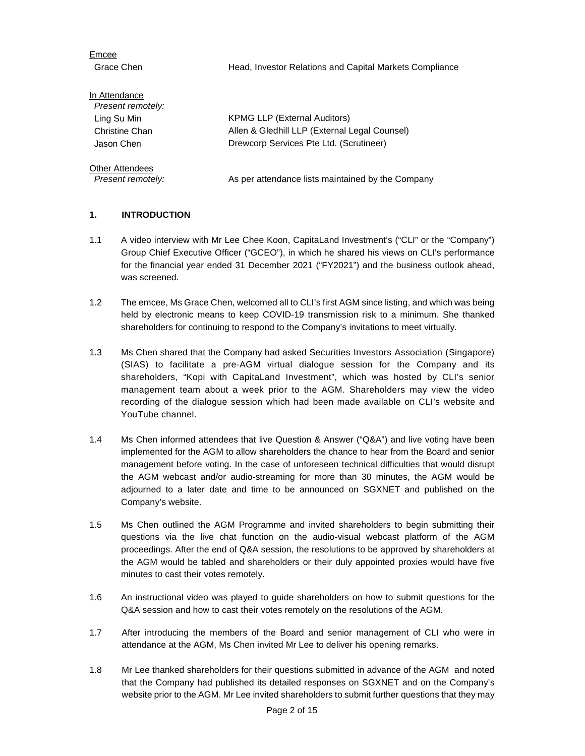Grace Chen **Head, Investor Relations and Capital Markets Compliance** Grace In Attendance *Present remotely:*  Ling Su Min KPMG LLP (External Auditors) Christine Chan Allen & Gledhill LLP (External Legal Counsel) Jason Chen Drewcorp Services Pte Ltd. (Scrutineer) Other Attendees

*Present remotely:* As per attendance lists maintained by the Company

### **1. INTRODUCTION**

Emcee

- 1.1 A video interview with Mr Lee Chee Koon, CapitaLand Investment's ("CLI" or the "Company") Group Chief Executive Officer ("GCEO"), in which he shared his views on CLI's performance for the financial year ended 31 December 2021 ("FY2021") and the business outlook ahead, was screened.
- 1.2 The emcee, Ms Grace Chen, welcomed all to CLI's first AGM since listing, and which was being held by electronic means to keep COVID-19 transmission risk to a minimum. She thanked shareholders for continuing to respond to the Company's invitations to meet virtually.
- 1.3 Ms Chen shared that the Company had asked Securities Investors Association (Singapore) (SIAS) to facilitate a pre-AGM virtual dialogue session for the Company and its shareholders, "Kopi with CapitaLand Investment", which was hosted by CLI's senior management team about a week prior to the AGM. Shareholders may view the video recording of the dialogue session which had been made available on CLI's website and YouTube channel.
- 1.4 Ms Chen informed attendees that live Question & Answer ("Q&A") and live voting have been implemented for the AGM to allow shareholders the chance to hear from the Board and senior management before voting. In the case of unforeseen technical difficulties that would disrupt the AGM webcast and/or audio-streaming for more than 30 minutes, the AGM would be adjourned to a later date and time to be announced on SGXNET and published on the Company's website.
- 1.5 Ms Chen outlined the AGM Programme and invited shareholders to begin submitting their questions via the live chat function on the audio-visual webcast platform of the AGM proceedings. After the end of Q&A session, the resolutions to be approved by shareholders at the AGM would be tabled and shareholders or their duly appointed proxies would have five minutes to cast their votes remotely.
- 1.6 An instructional video was played to guide shareholders on how to submit questions for the Q&A session and how to cast their votes remotely on the resolutions of the AGM.
- 1.7 After introducing the members of the Board and senior management of CLI who were in attendance at the AGM, Ms Chen invited Mr Lee to deliver his opening remarks.
- 1.8 Mr Lee thanked shareholders for their questions submitted in advance of the AGM and noted that the Company had published its detailed responses on SGXNET and on the Company's website prior to the AGM. Mr Lee invited shareholders to submit further questions that they may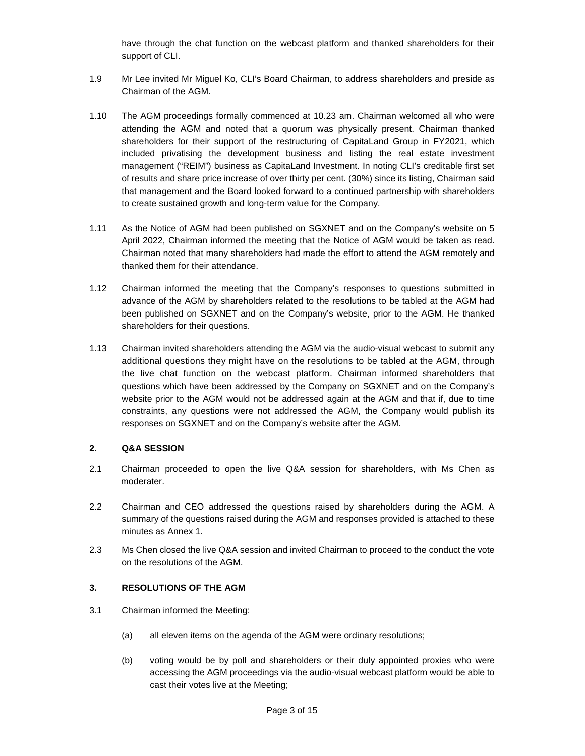have through the chat function on the webcast platform and thanked shareholders for their support of CLI.

- 1.9 Mr Lee invited Mr Miguel Ko, CLI's Board Chairman, to address shareholders and preside as Chairman of the AGM.
- 1.10 The AGM proceedings formally commenced at 10.23 am. Chairman welcomed all who were attending the AGM and noted that a quorum was physically present. Chairman thanked shareholders for their support of the restructuring of CapitaLand Group in FY2021, which included privatising the development business and listing the real estate investment management ("REIM") business as CapitaLand Investment. In noting CLI's creditable first set of results and share price increase of over thirty per cent. (30%) since its listing, Chairman said that management and the Board looked forward to a continued partnership with shareholders to create sustained growth and long-term value for the Company.
- 1.11 As the Notice of AGM had been published on SGXNET and on the Company's website on 5 April 2022, Chairman informed the meeting that the Notice of AGM would be taken as read. Chairman noted that many shareholders had made the effort to attend the AGM remotely and thanked them for their attendance.
- 1.12 Chairman informed the meeting that the Company's responses to questions submitted in advance of the AGM by shareholders related to the resolutions to be tabled at the AGM had been published on SGXNET and on the Company's website, prior to the AGM. He thanked shareholders for their questions.
- 1.13 Chairman invited shareholders attending the AGM via the audio-visual webcast to submit any additional questions they might have on the resolutions to be tabled at the AGM, through the live chat function on the webcast platform. Chairman informed shareholders that questions which have been addressed by the Company on SGXNET and on the Company's website prior to the AGM would not be addressed again at the AGM and that if, due to time constraints, any questions were not addressed the AGM, the Company would publish its responses on SGXNET and on the Company's website after the AGM.

### **2. Q&A SESSION**

- 2.1 Chairman proceeded to open the live Q&A session for shareholders, with Ms Chen as moderater.
- 2.2 Chairman and CEO addressed the questions raised by shareholders during the AGM. A summary of the questions raised during the AGM and responses provided is attached to these minutes as Annex 1.
- 2.3 Ms Chen closed the live Q&A session and invited Chairman to proceed to the conduct the vote on the resolutions of the AGM.

# **3. RESOLUTIONS OF THE AGM**

- 3.1 Chairman informed the Meeting:
	- (a) all eleven items on the agenda of the AGM were ordinary resolutions;
	- (b) voting would be by poll and shareholders or their duly appointed proxies who were accessing the AGM proceedings via the audio-visual webcast platform would be able to cast their votes live at the Meeting;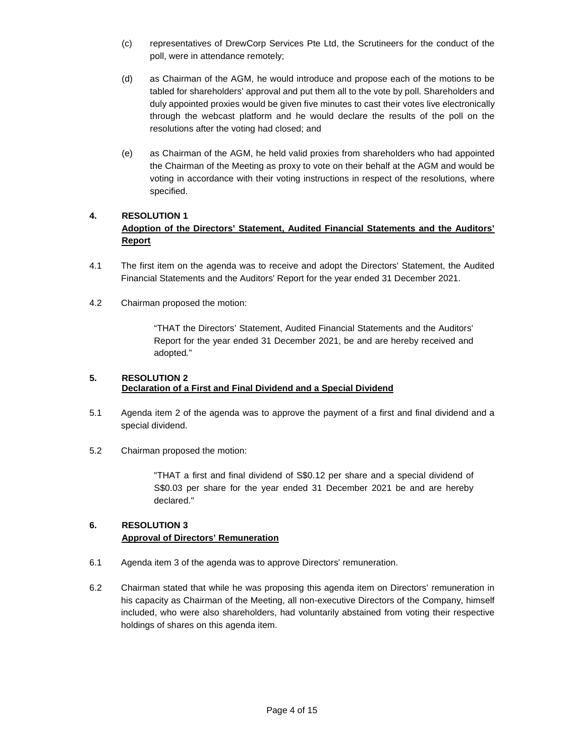- (c) representatives of DrewCorp Services Pte Ltd, the Scrutineers for the conduct of the poll, were in attendance remotely;
- (d) as Chairman of the AGM, he would introduce and propose each of the motions to be tabled for shareholders' approval and put them all to the vote by poll. Shareholders and duly appointed proxies would be given five minutes to cast their votes live electronically through the webcast platform and he would declare the results of the poll on the resolutions after the voting had closed; and
- (e) as Chairman of the AGM, he held valid proxies from shareholders who had appointed the Chairman of the Meeting as proxy to vote on their behalf at the AGM and would be voting in accordance with their voting instructions in respect of the resolutions, where specified.

# **4. RESOLUTION 1 Adoption of the Directors' Statement, Audited Financial Statements and the Auditors' Report**

- 4.1 The first item on the agenda was to receive and adopt the Directors' Statement, the Audited Financial Statements and the Auditors' Report for the year ended 31 December 2021.
- 4.2 Chairman proposed the motion:

"THAT the Directors' Statement, Audited Financial Statements and the Auditors' Report for the year ended 31 December 2021, be and are hereby received and adopted*.*"

### **5. RESOLUTION 2 Declaration of a First and Final Dividend and a Special Dividend**

- 5.1 Agenda item 2 of the agenda was to approve the payment of a first and final dividend and a special dividend.
- 5.2 Chairman proposed the motion:

"THAT a first and final dividend of S\$0.12 per share and a special dividend of S\$0.03 per share for the year ended 31 December 2021 be and are hereby declared."

# **6. RESOLUTION 3 Approval of Directors' Remuneration**

- 6.1 Agenda item 3 of the agenda was to approve Directors' remuneration.
- 6.2 Chairman stated that while he was proposing this agenda item on Directors' remuneration in his capacity as Chairman of the Meeting, all non-executive Directors of the Company, himself included, who were also shareholders, had voluntarily abstained from voting their respective holdings of shares on this agenda item.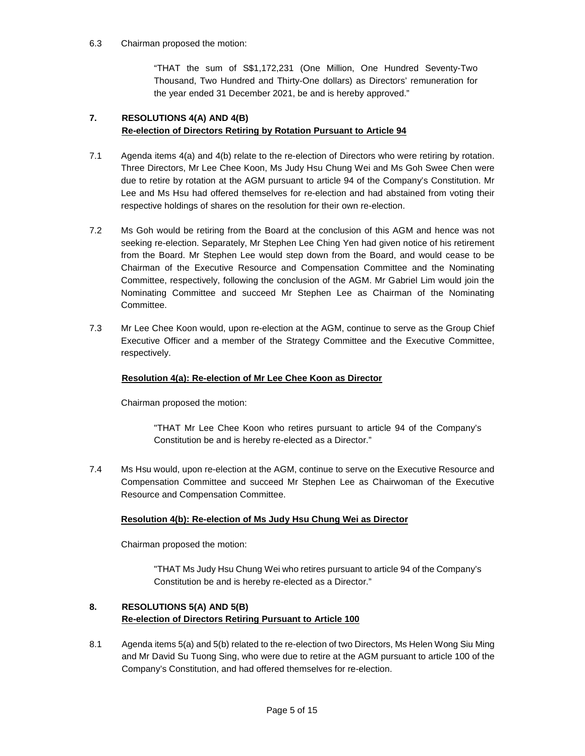### 6.3 Chairman proposed the motion:

"THAT the sum of S\$1,172,231 (One Million, One Hundred Seventy-Two Thousand, Two Hundred and Thirty-One dollars) as Directors' remuneration for the year ended 31 December 2021, be and is hereby approved."

# **7. RESOLUTIONS 4(A) AND 4(B) Re-election of Directors Retiring by Rotation Pursuant to Article 94**

- 7.1 Agenda items 4(a) and 4(b) relate to the re-election of Directors who were retiring by rotation. Three Directors, Mr Lee Chee Koon, Ms Judy Hsu Chung Wei and Ms Goh Swee Chen were due to retire by rotation at the AGM pursuant to article 94 of the Company's Constitution. Mr Lee and Ms Hsu had offered themselves for re-election and had abstained from voting their respective holdings of shares on the resolution for their own re-election.
- 7.2 Ms Goh would be retiring from the Board at the conclusion of this AGM and hence was not seeking re-election. Separately, Mr Stephen Lee Ching Yen had given notice of his retirement from the Board. Mr Stephen Lee would step down from the Board, and would cease to be Chairman of the Executive Resource and Compensation Committee and the Nominating Committee, respectively, following the conclusion of the AGM. Mr Gabriel Lim would join the Nominating Committee and succeed Mr Stephen Lee as Chairman of the Nominating Committee.
- 7.3 Mr Lee Chee Koon would, upon re-election at the AGM, continue to serve as the Group Chief Executive Officer and a member of the Strategy Committee and the Executive Committee, respectively.

### **Resolution 4(a): Re-election of Mr Lee Chee Koon as Director**

Chairman proposed the motion:

"THAT Mr Lee Chee Koon who retires pursuant to article 94 of the Company's Constitution be and is hereby re-elected as a Director."

7.4 Ms Hsu would, upon re-election at the AGM, continue to serve on the Executive Resource and Compensation Committee and succeed Mr Stephen Lee as Chairwoman of the Executive Resource and Compensation Committee.

### **Resolution 4(b): Re-election of Ms Judy Hsu Chung Wei as Director**

Chairman proposed the motion:

"THAT Ms Judy Hsu Chung Wei who retires pursuant to article 94 of the Company's Constitution be and is hereby re-elected as a Director."

# **8. RESOLUTIONS 5(A) AND 5(B) Re-election of Directors Retiring Pursuant to Article 100**

8.1 Agenda items 5(a) and 5(b) related to the re-election of two Directors, Ms Helen Wong Siu Ming and Mr David Su Tuong Sing, who were due to retire at the AGM pursuant to article 100 of the Company's Constitution, and had offered themselves for re-election.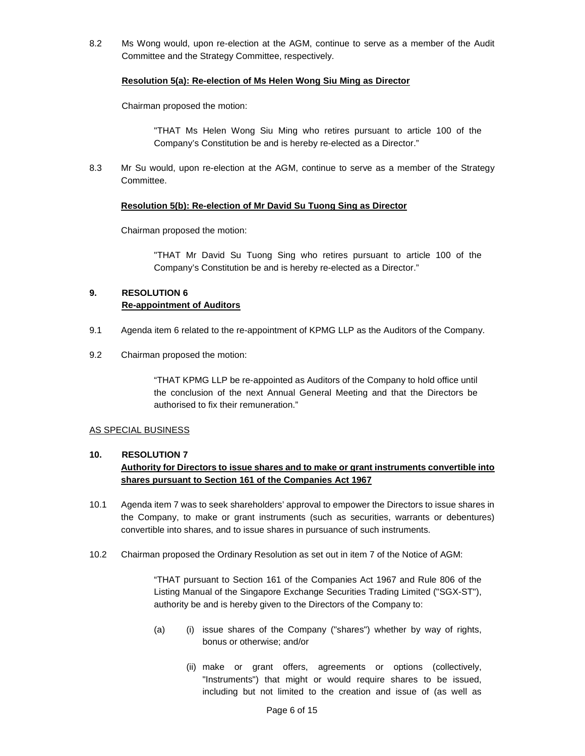8.2 Ms Wong would, upon re-election at the AGM, continue to serve as a member of the Audit Committee and the Strategy Committee, respectively.

#### **Resolution 5(a): Re-election of Ms Helen Wong Siu Ming as Director**

Chairman proposed the motion:

"THAT Ms Helen Wong Siu Ming who retires pursuant to article 100 of the Company's Constitution be and is hereby re-elected as a Director."

8.3 Mr Su would, upon re-election at the AGM, continue to serve as a member of the Strategy Committee.

#### **Resolution 5(b): Re-election of Mr David Su Tuong Sing as Director**

Chairman proposed the motion:

"THAT Mr David Su Tuong Sing who retires pursuant to article 100 of the Company's Constitution be and is hereby re-elected as a Director."

# **9. RESOLUTION 6 Re-appointment of Auditors**

- 9.1 Agenda item 6 related to the re-appointment of KPMG LLP as the Auditors of the Company.
- 9.2 Chairman proposed the motion:

"THAT KPMG LLP be re-appointed as Auditors of the Company to hold office until the conclusion of the next Annual General Meeting and that the Directors be authorised to fix their remuneration."

### AS SPECIAL BUSINESS

### **10. RESOLUTION 7 Authority for Directors to issue shares and to make or grant instruments convertible into shares pursuant to Section 161 of the Companies Act 1967**

- 10.1 Agenda item 7 was to seek shareholders' approval to empower the Directors to issue shares in the Company, to make or grant instruments (such as securities, warrants or debentures) convertible into shares, and to issue shares in pursuance of such instruments.
- 10.2 Chairman proposed the Ordinary Resolution as set out in item 7 of the Notice of AGM:

"THAT pursuant to Section 161 of the Companies Act 1967 and Rule 806 of the Listing Manual of the Singapore Exchange Securities Trading Limited ("SGX-ST"), authority be and is hereby given to the Directors of the Company to:

- (a) (i) issue shares of the Company ("shares") whether by way of rights, bonus or otherwise; and/or
	- (ii) make or grant offers, agreements or options (collectively, "Instruments") that might or would require shares to be issued, including but not limited to the creation and issue of (as well as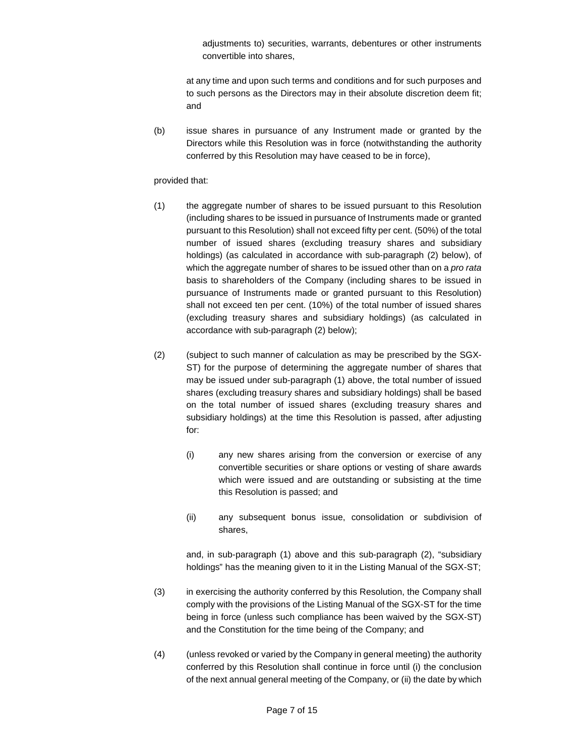adjustments to) securities, warrants, debentures or other instruments convertible into shares,

at any time and upon such terms and conditions and for such purposes and to such persons as the Directors may in their absolute discretion deem fit; and

(b) issue shares in pursuance of any Instrument made or granted by the Directors while this Resolution was in force (notwithstanding the authority conferred by this Resolution may have ceased to be in force),

#### provided that:

- (1) the aggregate number of shares to be issued pursuant to this Resolution (including shares to be issued in pursuance of Instruments made or granted pursuant to this Resolution) shall not exceed fifty per cent. (50%) of the total number of issued shares (excluding treasury shares and subsidiary holdings) (as calculated in accordance with sub-paragraph (2) below), of which the aggregate number of shares to be issued other than on a *pro rata* basis to shareholders of the Company (including shares to be issued in pursuance of Instruments made or granted pursuant to this Resolution) shall not exceed ten per cent. (10%) of the total number of issued shares (excluding treasury shares and subsidiary holdings) (as calculated in accordance with sub-paragraph (2) below);
- (2) (subject to such manner of calculation as may be prescribed by the SGX-ST) for the purpose of determining the aggregate number of shares that may be issued under sub-paragraph (1) above, the total number of issued shares (excluding treasury shares and subsidiary holdings) shall be based on the total number of issued shares (excluding treasury shares and subsidiary holdings) at the time this Resolution is passed, after adjusting for:
	- (i) any new shares arising from the conversion or exercise of any convertible securities or share options or vesting of share awards which were issued and are outstanding or subsisting at the time this Resolution is passed; and
	- (ii) any subsequent bonus issue, consolidation or subdivision of shares,

and, in sub-paragraph (1) above and this sub-paragraph (2), "subsidiary holdings" has the meaning given to it in the Listing Manual of the SGX-ST;

- (3) in exercising the authority conferred by this Resolution, the Company shall comply with the provisions of the Listing Manual of the SGX-ST for the time being in force (unless such compliance has been waived by the SGX-ST) and the Constitution for the time being of the Company; and
- (4) (unless revoked or varied by the Company in general meeting) the authority conferred by this Resolution shall continue in force until (i) the conclusion of the next annual general meeting of the Company, or (ii) the date by which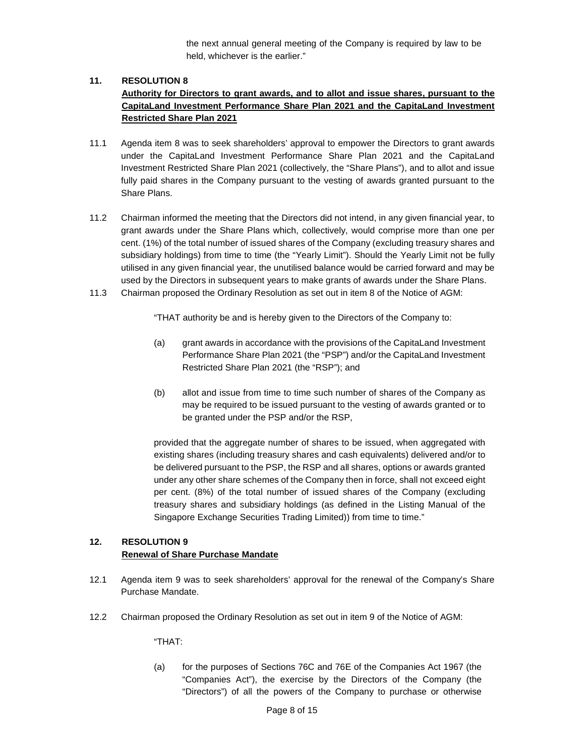the next annual general meeting of the Company is required by law to be held, whichever is the earlier."

# **11. RESOLUTION 8 Authority for Directors to grant awards, and to allot and issue shares, pursuant to the CapitaLand Investment Performance Share Plan 2021 and the CapitaLand Investment Restricted Share Plan 2021**

- 11.1 Agenda item 8 was to seek shareholders' approval to empower the Directors to grant awards under the CapitaLand Investment Performance Share Plan 2021 and the CapitaLand Investment Restricted Share Plan 2021 (collectively, the "Share Plans"), and to allot and issue fully paid shares in the Company pursuant to the vesting of awards granted pursuant to the Share Plans.
- 11.2 Chairman informed the meeting that the Directors did not intend, in any given financial year, to grant awards under the Share Plans which, collectively, would comprise more than one per cent. (1%) of the total number of issued shares of the Company (excluding treasury shares and subsidiary holdings) from time to time (the "Yearly Limit"). Should the Yearly Limit not be fully utilised in any given financial year, the unutilised balance would be carried forward and may be used by the Directors in subsequent years to make grants of awards under the Share Plans.
- 11.3 Chairman proposed the Ordinary Resolution as set out in item 8 of the Notice of AGM:

"THAT authority be and is hereby given to the Directors of the Company to:

- (a) grant awards in accordance with the provisions of the CapitaLand Investment Performance Share Plan 2021 (the "PSP") and/or the CapitaLand Investment Restricted Share Plan 2021 (the "RSP"); and
- (b) allot and issue from time to time such number of shares of the Company as may be required to be issued pursuant to the vesting of awards granted or to be granted under the PSP and/or the RSP,

provided that the aggregate number of shares to be issued, when aggregated with existing shares (including treasury shares and cash equivalents) delivered and/or to be delivered pursuant to the PSP, the RSP and all shares, options or awards granted under any other share schemes of the Company then in force, shall not exceed eight per cent. (8%) of the total number of issued shares of the Company (excluding treasury shares and subsidiary holdings (as defined in the Listing Manual of the Singapore Exchange Securities Trading Limited)) from time to time."

# **12. RESOLUTION 9 Renewal of Share Purchase Mandate**

- 12.1 Agenda item 9 was to seek shareholders' approval for the renewal of the Company's Share Purchase Mandate.
- 12.2 Chairman proposed the Ordinary Resolution as set out in item 9 of the Notice of AGM:

"THAT:

(a) for the purposes of Sections 76C and 76E of the Companies Act 1967 (the "Companies Act"), the exercise by the Directors of the Company (the "Directors") of all the powers of the Company to purchase or otherwise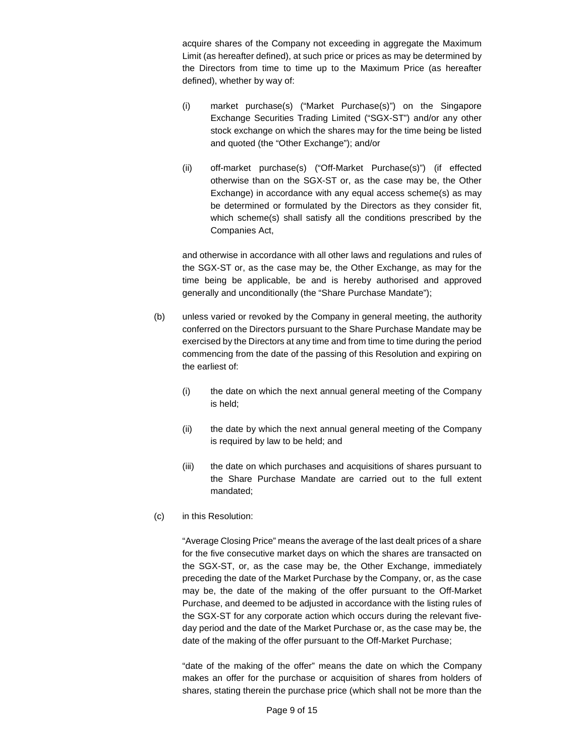acquire shares of the Company not exceeding in aggregate the Maximum Limit (as hereafter defined), at such price or prices as may be determined by the Directors from time to time up to the Maximum Price (as hereafter defined), whether by way of:

- (i) market purchase(s) ("Market Purchase(s)") on the Singapore Exchange Securities Trading Limited ("SGX-ST") and/or any other stock exchange on which the shares may for the time being be listed and quoted (the "Other Exchange"); and/or
- (ii) off-market purchase(s) ("Off-Market Purchase(s)") (if effected otherwise than on the SGX-ST or, as the case may be, the Other Exchange) in accordance with any equal access scheme(s) as may be determined or formulated by the Directors as they consider fit, which scheme(s) shall satisfy all the conditions prescribed by the Companies Act,

and otherwise in accordance with all other laws and regulations and rules of the SGX-ST or, as the case may be, the Other Exchange, as may for the time being be applicable, be and is hereby authorised and approved generally and unconditionally (the "Share Purchase Mandate");

- (b) unless varied or revoked by the Company in general meeting, the authority conferred on the Directors pursuant to the Share Purchase Mandate may be exercised by the Directors at any time and from time to time during the period commencing from the date of the passing of this Resolution and expiring on the earliest of:
	- (i) the date on which the next annual general meeting of the Company is held;
	- (ii) the date by which the next annual general meeting of the Company is required by law to be held; and
	- (iii) the date on which purchases and acquisitions of shares pursuant to the Share Purchase Mandate are carried out to the full extent mandated;
- (c) in this Resolution:

"Average Closing Price" means the average of the last dealt prices of a share for the five consecutive market days on which the shares are transacted on the SGX-ST, or, as the case may be, the Other Exchange, immediately preceding the date of the Market Purchase by the Company, or, as the case may be, the date of the making of the offer pursuant to the Off-Market Purchase, and deemed to be adjusted in accordance with the listing rules of the SGX-ST for any corporate action which occurs during the relevant fiveday period and the date of the Market Purchase or, as the case may be, the date of the making of the offer pursuant to the Off-Market Purchase;

"date of the making of the offer" means the date on which the Company makes an offer for the purchase or acquisition of shares from holders of shares, stating therein the purchase price (which shall not be more than the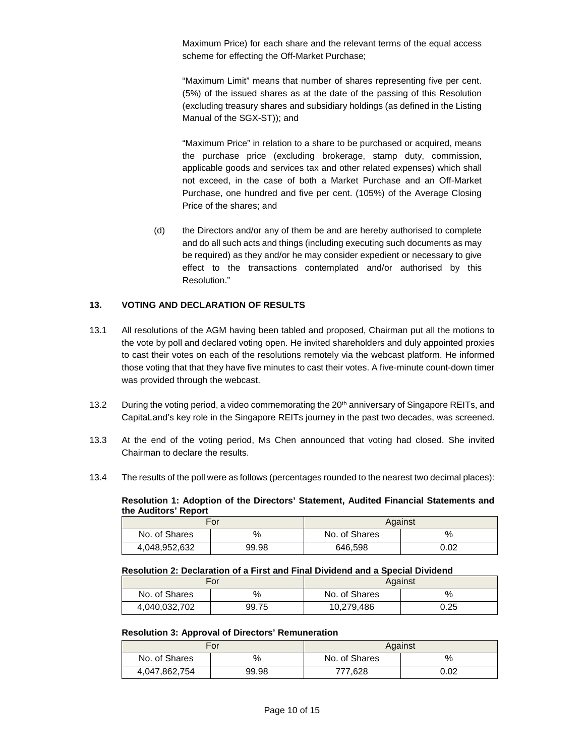Maximum Price) for each share and the relevant terms of the equal access scheme for effecting the Off-Market Purchase;

"Maximum Limit" means that number of shares representing five per cent. (5%) of the issued shares as at the date of the passing of this Resolution (excluding treasury shares and subsidiary holdings (as defined in the Listing Manual of the SGX-ST)); and

"Maximum Price" in relation to a share to be purchased or acquired, means the purchase price (excluding brokerage, stamp duty, commission, applicable goods and services tax and other related expenses) which shall not exceed, in the case of both a Market Purchase and an Off-Market Purchase, one hundred and five per cent. (105%) of the Average Closing Price of the shares; and

(d) the Directors and/or any of them be and are hereby authorised to complete and do all such acts and things (including executing such documents as may be required) as they and/or he may consider expedient or necessary to give effect to the transactions contemplated and/or authorised by this Resolution."

### **13. VOTING AND DECLARATION OF RESULTS**

- 13.1 All resolutions of the AGM having been tabled and proposed, Chairman put all the motions to the vote by poll and declared voting open. He invited shareholders and duly appointed proxies to cast their votes on each of the resolutions remotely via the webcast platform. He informed those voting that that they have five minutes to cast their votes. A five-minute count-down timer was provided through the webcast.
- 13.2 During the voting period, a video commemorating the 20<sup>th</sup> anniversary of Singapore REITs, and CapitaLand's key role in the Singapore REITs journey in the past two decades, was screened.
- 13.3 At the end of the voting period, Ms Chen announced that voting had closed. She invited Chairman to declare the results.
- 13.4 The results of the poll were as follows (percentages rounded to the nearest two decimal places):

**Resolution 1: Adoption of the Directors' Statement, Audited Financial Statements and the Auditors' Report** 

| For           |       |               | Against |
|---------------|-------|---------------|---------|
| No. of Shares | $\%$  | No. of Shares | %       |
| 4,048,952,632 | 99.98 | 646.598       | 0.02    |

#### **Resolution 2: Declaration of a First and Final Dividend and a Special Dividend**

| For           |       |               | Against |
|---------------|-------|---------------|---------|
| No. of Shares | %     | No. of Shares | %       |
| 4,040,032,702 | 99.75 | 10,279,486    | 0.25    |

#### **Resolution 3: Approval of Directors' Remuneration**

| For           |       | Against       |      |
|---------------|-------|---------------|------|
| No. of Shares | %     | No. of Shares | %    |
| 4,047,862,754 | 99.98 | 777,628       | 0.02 |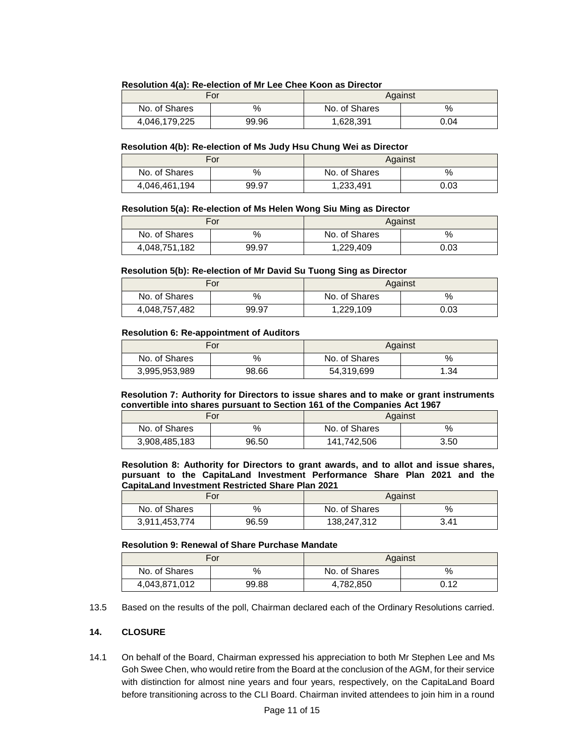#### **Resolution 4(a): Re-election of Mr Lee Chee Koon as Director**

| For           |       | Against       |      |
|---------------|-------|---------------|------|
| No. of Shares | $\%$  | No. of Shares | %    |
| 4,046,179,225 | 99.96 | 1,628,391     | 0.04 |

#### **Resolution 4(b): Re-election of Ms Judy Hsu Chung Wei as Director**

| For           |       | Against       |      |
|---------------|-------|---------------|------|
| No. of Shares | $\%$  | No. of Shares | %    |
| 4,046,461,194 | 99.97 | 1,233,491     | 0.03 |

#### **Resolution 5(a): Re-election of Ms Helen Wong Siu Ming as Director**

| For           |       |               | Against |
|---------------|-------|---------------|---------|
| No. of Shares | %     | No. of Shares | $\%$    |
| 4,048,751,182 | 99.97 | 1,229,409     | 0.03    |

#### **Resolution 5(b): Re-election of Mr David Su Tuong Sing as Director**

| For           |       | Against       |      |
|---------------|-------|---------------|------|
| No. of Shares | %     | No. of Shares | %    |
| 4,048,757,482 | 99.97 | 1,229,109     | 0.03 |

#### **Resolution 6: Re-appointment of Auditors**

|               | For   |               | Against |
|---------------|-------|---------------|---------|
| No. of Shares | %     | No. of Shares | $\%$    |
| 3,995,953,989 | 98.66 | 54,319,699    | .34     |

**Resolution 7: Authority for Directors to issue shares and to make or grant instruments convertible into shares pursuant to Section 161 of the Companies Act 1967** 

| For           |       |               | Against |
|---------------|-------|---------------|---------|
| No. of Shares | %     | No. of Shares | $\%$    |
| 3,908,485,183 | 96.50 | 141,742,506   | 3.50    |

**Resolution 8: Authority for Directors to grant awards, and to allot and issue shares, pursuant to the CapitaLand Investment Performance Share Plan 2021 and the CapitaLand Investment Restricted Share Plan 2021** 

| For           |       |               | Against |
|---------------|-------|---------------|---------|
| No. of Shares | %     | No. of Shares | %       |
| 3,911,453,774 | 96.59 | 138,247,312   | 3.41    |

#### **Resolution 9: Renewal of Share Purchase Mandate**

| For           |       | Against       |      |
|---------------|-------|---------------|------|
| No. of Shares | $\%$  | No. of Shares | $\%$ |
| 4,043,871,012 | 99.88 | 4,782,850     | 0.12 |

13.5 Based on the results of the poll, Chairman declared each of the Ordinary Resolutions carried.

#### **14. CLOSURE**

14.1 On behalf of the Board, Chairman expressed his appreciation to both Mr Stephen Lee and Ms Goh Swee Chen, who would retire from the Board at the conclusion of the AGM, for their service with distinction for almost nine years and four years, respectively, on the CapitaLand Board before transitioning across to the CLI Board. Chairman invited attendees to join him in a round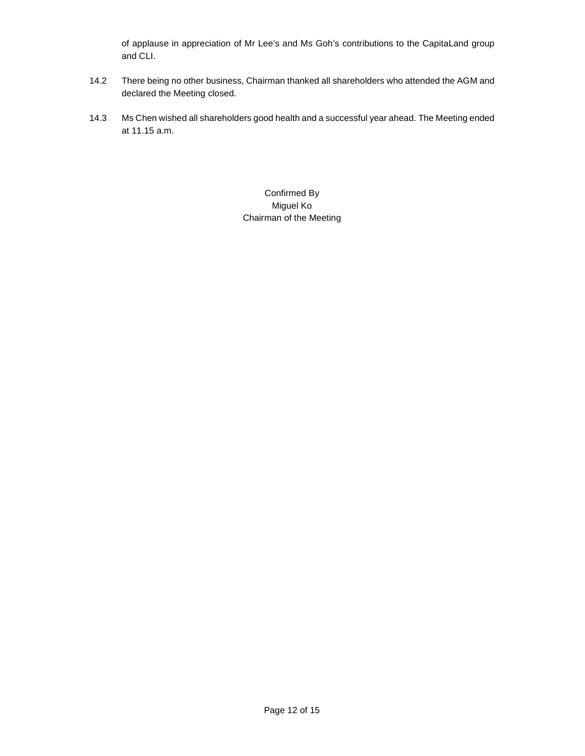of applause in appreciation of Mr Lee's and Ms Goh's contributions to the CapitaLand group and CLI.

- 14.2 There being no other business, Chairman thanked all shareholders who attended the AGM and declared the Meeting closed.
- 14.3 Ms Chen wished all shareholders good health and a successful year ahead. The Meeting ended at 11.15 a.m.

Confirmed By Miguel Ko Chairman of the Meeting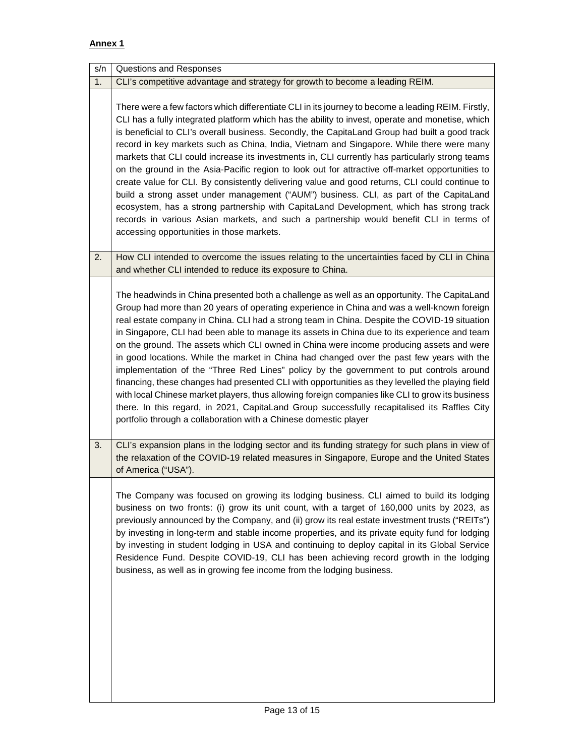# **Annex 1**

| s/n | Questions and Responses                                                                                                                                                                                                                                                                                                                                                                                                                                                                                                                                                                                                                                                                                                                                                                                                                                                                                                                                                                                                                                   |
|-----|-----------------------------------------------------------------------------------------------------------------------------------------------------------------------------------------------------------------------------------------------------------------------------------------------------------------------------------------------------------------------------------------------------------------------------------------------------------------------------------------------------------------------------------------------------------------------------------------------------------------------------------------------------------------------------------------------------------------------------------------------------------------------------------------------------------------------------------------------------------------------------------------------------------------------------------------------------------------------------------------------------------------------------------------------------------|
| 1.  | CLI's competitive advantage and strategy for growth to become a leading REIM.                                                                                                                                                                                                                                                                                                                                                                                                                                                                                                                                                                                                                                                                                                                                                                                                                                                                                                                                                                             |
|     | There were a few factors which differentiate CLI in its journey to become a leading REIM. Firstly,<br>CLI has a fully integrated platform which has the ability to invest, operate and monetise, which<br>is beneficial to CLI's overall business. Secondly, the CapitaLand Group had built a good track<br>record in key markets such as China, India, Vietnam and Singapore. While there were many<br>markets that CLI could increase its investments in, CLI currently has particularly strong teams<br>on the ground in the Asia-Pacific region to look out for attractive off-market opportunities to<br>create value for CLI. By consistently delivering value and good returns, CLI could continue to<br>build a strong asset under management ("AUM") business. CLI, as part of the CapitaLand<br>ecosystem, has a strong partnership with CapitaLand Development, which has strong track<br>records in various Asian markets, and such a partnership would benefit CLI in terms of<br>accessing opportunities in those markets.                  |
| 2.  | How CLI intended to overcome the issues relating to the uncertainties faced by CLI in China<br>and whether CLI intended to reduce its exposure to China.                                                                                                                                                                                                                                                                                                                                                                                                                                                                                                                                                                                                                                                                                                                                                                                                                                                                                                  |
|     | The headwinds in China presented both a challenge as well as an opportunity. The CapitaLand<br>Group had more than 20 years of operating experience in China and was a well-known foreign<br>real estate company in China. CLI had a strong team in China. Despite the COVID-19 situation<br>in Singapore, CLI had been able to manage its assets in China due to its experience and team<br>on the ground. The assets which CLI owned in China were income producing assets and were<br>in good locations. While the market in China had changed over the past few years with the<br>implementation of the "Three Red Lines" policy by the government to put controls around<br>financing, these changes had presented CLI with opportunities as they levelled the playing field<br>with local Chinese market players, thus allowing foreign companies like CLI to grow its business<br>there. In this regard, in 2021, CapitaLand Group successfully recapitalised its Raffles City<br>portfolio through a collaboration with a Chinese domestic player |
| 3.  | CLI's expansion plans in the lodging sector and its funding strategy for such plans in view of<br>the relaxation of the COVID-19 related measures in Singapore, Europe and the United States<br>of America ("USA").                                                                                                                                                                                                                                                                                                                                                                                                                                                                                                                                                                                                                                                                                                                                                                                                                                       |
|     | The Company was focused on growing its lodging business. CLI aimed to build its lodging<br>business on two fronts: (i) grow its unit count, with a target of 160,000 units by 2023, as<br>previously announced by the Company, and (ii) grow its real estate investment trusts ("REITs")<br>by investing in long-term and stable income properties, and its private equity fund for lodging<br>by investing in student lodging in USA and continuing to deploy capital in its Global Service<br>Residence Fund. Despite COVID-19, CLI has been achieving record growth in the lodging<br>business, as well as in growing fee income from the lodging business.                                                                                                                                                                                                                                                                                                                                                                                            |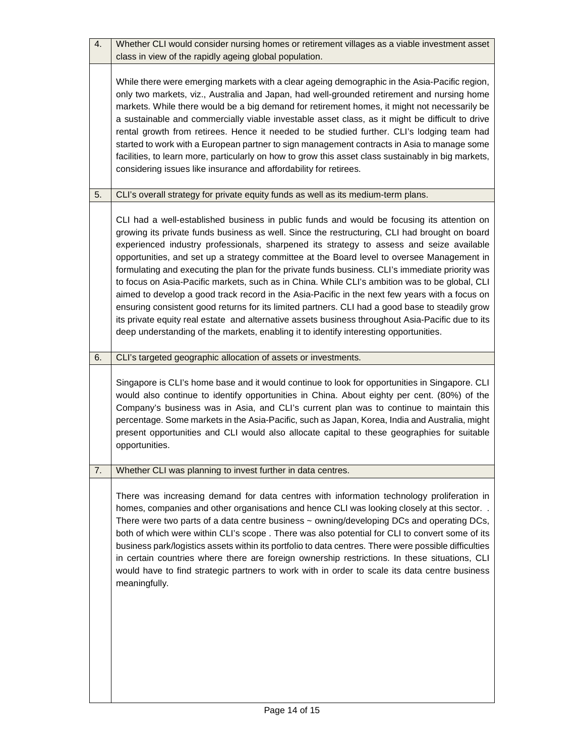| 4. | Whether CLI would consider nursing homes or retirement villages as a viable investment asset<br>class in view of the rapidly ageing global population.                                                                                                                                                                                                                                                                                                                                                                                                                                                                                                                                                                                                                                                                                                                                                                                                                                        |
|----|-----------------------------------------------------------------------------------------------------------------------------------------------------------------------------------------------------------------------------------------------------------------------------------------------------------------------------------------------------------------------------------------------------------------------------------------------------------------------------------------------------------------------------------------------------------------------------------------------------------------------------------------------------------------------------------------------------------------------------------------------------------------------------------------------------------------------------------------------------------------------------------------------------------------------------------------------------------------------------------------------|
|    | While there were emerging markets with a clear ageing demographic in the Asia-Pacific region,<br>only two markets, viz., Australia and Japan, had well-grounded retirement and nursing home<br>markets. While there would be a big demand for retirement homes, it might not necessarily be<br>a sustainable and commercially viable investable asset class, as it might be difficult to drive<br>rental growth from retirees. Hence it needed to be studied further. CLI's lodging team had<br>started to work with a European partner to sign management contracts in Asia to manage some<br>facilities, to learn more, particularly on how to grow this asset class sustainably in big markets,<br>considering issues like insurance and affordability for retirees.                                                                                                                                                                                                                       |
| 5. | CLI's overall strategy for private equity funds as well as its medium-term plans.                                                                                                                                                                                                                                                                                                                                                                                                                                                                                                                                                                                                                                                                                                                                                                                                                                                                                                             |
|    | CLI had a well-established business in public funds and would be focusing its attention on<br>growing its private funds business as well. Since the restructuring, CLI had brought on board<br>experienced industry professionals, sharpened its strategy to assess and seize available<br>opportunities, and set up a strategy committee at the Board level to oversee Management in<br>formulating and executing the plan for the private funds business. CLI's immediate priority was<br>to focus on Asia-Pacific markets, such as in China. While CLI's ambition was to be global, CLI<br>aimed to develop a good track record in the Asia-Pacific in the next few years with a focus on<br>ensuring consistent good returns for its limited partners. CLI had a good base to steadily grow<br>its private equity real estate and alternative assets business throughout Asia-Pacific due to its<br>deep understanding of the markets, enabling it to identify interesting opportunities. |
| 6. | CLI's targeted geographic allocation of assets or investments.                                                                                                                                                                                                                                                                                                                                                                                                                                                                                                                                                                                                                                                                                                                                                                                                                                                                                                                                |
|    | Singapore is CLI's home base and it would continue to look for opportunities in Singapore. CLI<br>would also continue to identify opportunities in China. About eighty per cent. (80%) of the<br>Company's business was in Asia, and CLI's current plan was to continue to maintain this<br>percentage. Some markets in the Asia-Pacific, such as Japan, Korea, India and Australia, might<br>present opportunities and CLI would also allocate capital to these geographies for suitable<br>opportunities.                                                                                                                                                                                                                                                                                                                                                                                                                                                                                   |
| 7. | Whether CLI was planning to invest further in data centres.                                                                                                                                                                                                                                                                                                                                                                                                                                                                                                                                                                                                                                                                                                                                                                                                                                                                                                                                   |
|    | There was increasing demand for data centres with information technology proliferation in<br>homes, companies and other organisations and hence CLI was looking closely at this sector. .<br>There were two parts of a data centre business ~ owning/developing DCs and operating DCs,<br>both of which were within CLI's scope . There was also potential for CLI to convert some of its<br>business park/logistics assets within its portfolio to data centres. There were possible difficulties<br>in certain countries where there are foreign ownership restrictions. In these situations, CLI<br>would have to find strategic partners to work with in order to scale its data centre business<br>meaningfully.                                                                                                                                                                                                                                                                         |
|    |                                                                                                                                                                                                                                                                                                                                                                                                                                                                                                                                                                                                                                                                                                                                                                                                                                                                                                                                                                                               |